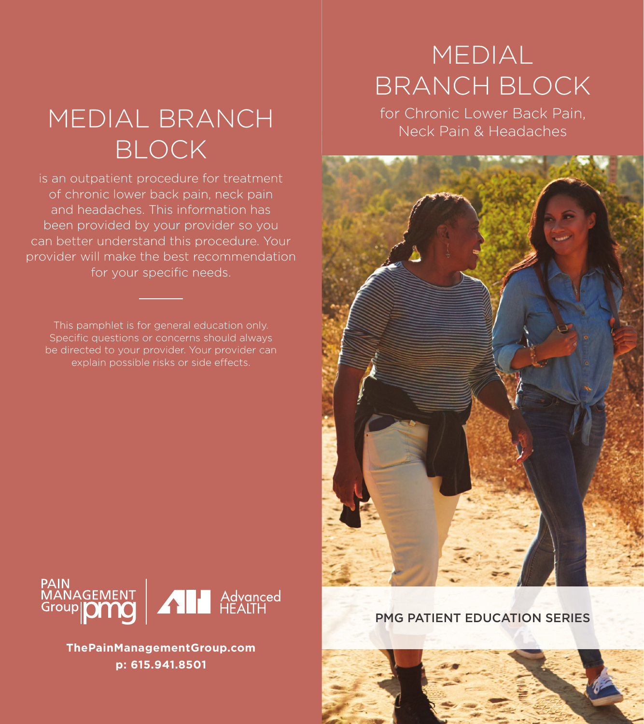# MEDIAL BRANCH BLOCK

is an outpatient procedure for treatment of chronic lower back pain, neck pain and headaches. This information has been provided by your provider so you can better understand this procedure. Your provider will make the best recommendation for your specific needs.

This pamphlet is for general education only. Specific questions or concerns should always be directed to your provider. Your provider can explain possible risks or side effects.

## MEDIAL BRANCH BLOCK

for Chronic Lower Back Pain, Neck Pain & Headaches





**ThePainManagementGroup.com p: 615.941.8501**

PMG PATIENT EDUCATION SERIES